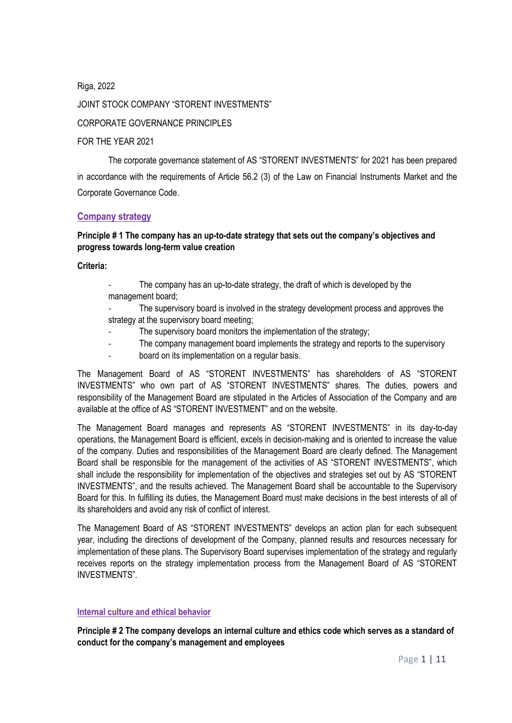Riga, 2022 JOINT STOCK COMPANY "STORENT INVESTMENTS" CORPORATE GOVERNANCE PRINCIPLES FOR THE YEAR 2021

The corporate governance statement of AS "STORENT INVESTMENTS" for 2021 has been prepared in accordance with the requirements of Article 56.2 (3) of the Law on Financial Instruments Market and the Corporate Governance Code.

#### **Company strategy**

## **Principle # 1 The company has an up-to-date strategy that sets out the company's objectives and progress towards long-term value creation**

#### **Criteria:**

- The company has an up-to-date strategy, the draft of which is developed by the management board;
- The supervisory board is involved in the strategy development process and approves the strategy at the supervisory board meeting;
	- The supervisory board monitors the implementation of the strategy;
- The company management board implements the strategy and reports to the supervisory
- board on its implementation on a regular basis.

The Management Board of AS "STORENT INVESTMENTS" has shareholders of AS "STORENT INVESTMENTS" who own part of AS "STORENT INVESTMENTS" shares. The duties, powers and responsibility of the Management Board are stipulated in the Articles of Association of the Company and are available at the office of AS "STORENT INVESTMENT" and on the website.

The Management Board manages and represents AS "STORENT INVESTMENTS" in its day-to-day operations, the Management Board is efficient, excels in decision-making and is oriented to increase the value of the company. Duties and responsibilities of the Management Board are clearly defined. The Management Board shall be responsible for the management of the activities of AS "STORENT INVESTMENTS", which shall include the responsibility for implementation of the objectives and strategies set out by AS "STORENT INVESTMENTS", and the results achieved. The Management Board shall be accountable to the Supervisory Board for this. In fulfilling its duties, the Management Board must make decisions in the best interests of all of its shareholders and avoid any risk of conflict of interest.

The Management Board of AS "STORENT INVESTMENTS" develops an action plan for each subsequent year, including the directions of development of the Company, planned results and resources necessary for implementation of these plans. The Supervisory Board supervises implementation of the strategy and regularly receives reports on the strategy implementation process from the Management Board of AS "STORENT INVESTMENTS".

#### **Internal culture and ethical behavior**

**Principle # 2 The company develops an internal culture and ethics code which serves as a standard of conduct for the company's management and employees**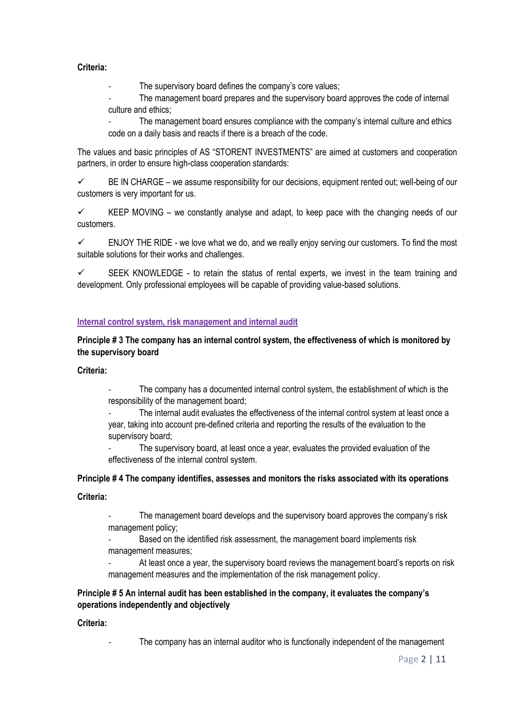### **Criteria:**

The supervisory board defines the company's core values;

The management board prepares and the supervisory board approves the code of internal culture and ethics;

The management board ensures compliance with the company's internal culture and ethics code on a daily basis and reacts if there is a breach of the code.

The values and basic principles of AS "STORENT INVESTMENTS" are aimed at customers and cooperation partners, in order to ensure high-class cooperation standards:

✓ BE IN CHARGE – we assume responsibility for our decisions, equipment rented out; well-being of our customers is very important for us.

 $\checkmark$  KEEP MOVING – we constantly analyse and adapt, to keep pace with the changing needs of our customers.

ENJOY THE RIDE - we love what we do, and we really enjoy serving our customers. To find the most suitable solutions for their works and challenges.

 $\checkmark$  SEEK KNOWLEDGE - to retain the status of rental experts, we invest in the team training and development. Only professional employees will be capable of providing value-based solutions.

## **Internal control system, risk management and internal audit**

**Principle # 3 The company has an internal control system, the effectiveness of which is monitored by the supervisory board**

#### **Criteria:**

The company has a documented internal control system, the establishment of which is the responsibility of the management board;

The internal audit evaluates the effectiveness of the internal control system at least once a year, taking into account pre-defined criteria and reporting the results of the evaluation to the supervisory board;

The supervisory board, at least once a year, evaluates the provided evaluation of the effectiveness of the internal control system.

## **Principle # 4 The company identifies, assesses and monitors the risks associated with its operations**

#### **Criteria:**

The management board develops and the supervisory board approves the company's risk management policy;

Based on the identified risk assessment, the management board implements risk management measures;

At least once a year, the supervisory board reviews the management board's reports on risk management measures and the implementation of the risk management policy.

## **Principle # 5 An internal audit has been established in the company, it evaluates the company's operations independently and objectively**

#### **Criteria:**

The company has an internal auditor who is functionally independent of the management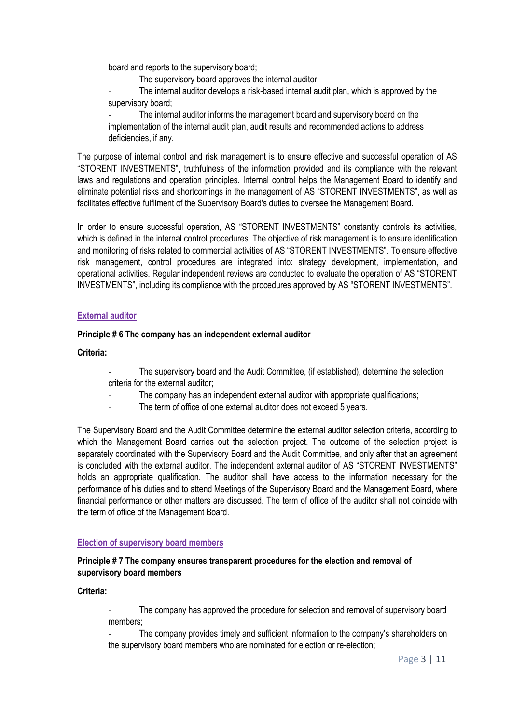board and reports to the supervisory board;

The supervisory board approves the internal auditor:

The internal auditor develops a risk-based internal audit plan, which is approved by the supervisory board;

The internal auditor informs the management board and supervisory board on the implementation of the internal audit plan, audit results and recommended actions to address deficiencies, if any.

The purpose of internal control and risk management is to ensure effective and successful operation of AS "STORENT INVESTMENTS", truthfulness of the information provided and its compliance with the relevant laws and regulations and operation principles. Internal control helps the Management Board to identify and eliminate potential risks and shortcomings in the management of AS "STORENT INVESTMENTS", as well as facilitates effective fulfilment of the Supervisory Board's duties to oversee the Management Board.

In order to ensure successful operation, AS "STORENT INVESTMENTS" constantly controls its activities, which is defined in the internal control procedures. The objective of risk management is to ensure identification and monitoring of risks related to commercial activities of AS "STORENT INVESTMENTS". To ensure effective risk management, control procedures are integrated into: strategy development, implementation, and operational activities. Regular independent reviews are conducted to evaluate the operation of AS "STORENT INVESTMENTS", including its compliance with the procedures approved by AS "STORENT INVESTMENTS".

## **External auditor**

#### **Principle # 6 The company has an independent external auditor**

**Criteria:**

- The supervisory board and the Audit Committee, (if established), determine the selection criteria for the external auditor;
	- The company has an independent external auditor with appropriate qualifications;
- The term of office of one external auditor does not exceed 5 years.

The Supervisory Board and the Audit Committee determine the external auditor selection criteria, according to which the Management Board carries out the selection project. The outcome of the selection project is separately coordinated with the Supervisory Board and the Audit Committee, and only after that an agreement is concluded with the external auditor. The independent external auditor of AS "STORENT INVESTMENTS" holds an appropriate qualification. The auditor shall have access to the information necessary for the performance of his duties and to attend Meetings of the Supervisory Board and the Management Board, where financial performance or other matters are discussed. The term of office of the auditor shall not coincide with the term of office of the Management Board.

#### **Election of supervisory board members**

## **Principle # 7 The company ensures transparent procedures for the election and removal of supervisory board members**

**Criteria:**

The company has approved the procedure for selection and removal of supervisory board members;

The company provides timely and sufficient information to the company's shareholders on the supervisory board members who are nominated for election or re-election;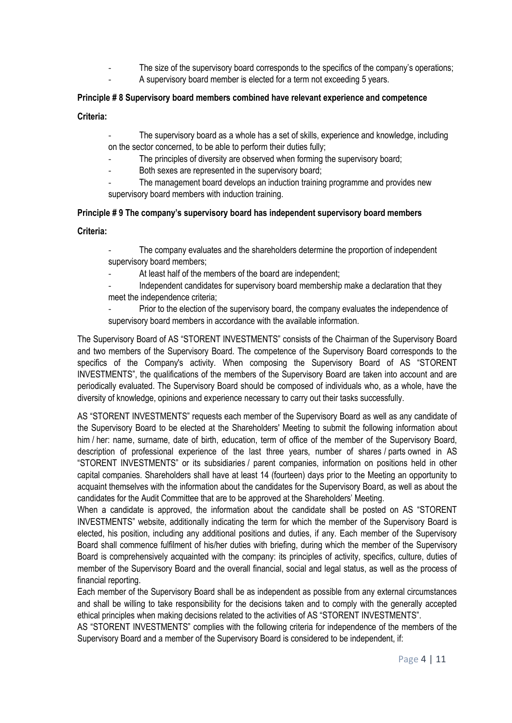- The size of the supervisory board corresponds to the specifics of the company's operations;
	- A supervisory board member is elected for a term not exceeding 5 years.

## **Principle # 8 Supervisory board members combined have relevant experience and competence**

**Criteria:**

- The supervisory board as a whole has a set of skills, experience and knowledge, including on the sector concerned, to be able to perform their duties fully;
- The principles of diversity are observed when forming the supervisory board;
- Both sexes are represented in the supervisory board;
- The management board develops an induction training programme and provides new supervisory board members with induction training.

## **Principle # 9 The company's supervisory board has independent supervisory board members**

#### **Criteria:**

- The company evaluates and the shareholders determine the proportion of independent supervisory board members;
- At least half of the members of the board are independent;
- Independent candidates for supervisory board membership make a declaration that they meet the independence criteria;
- Prior to the election of the supervisory board, the company evaluates the independence of supervisory board members in accordance with the available information.

The Supervisory Board of AS "STORENT INVESTMENTS" consists of the Chairman of the Supervisory Board and two members of the Supervisory Board. The competence of the Supervisory Board corresponds to the specifics of the Company's activity. When composing the Supervisory Board of AS "STORENT INVESTMENTS", the qualifications of the members of the Supervisory Board are taken into account and are periodically evaluated. The Supervisory Board should be composed of individuals who, as a whole, have the diversity of knowledge, opinions and experience necessary to carry out their tasks successfully.

AS "STORENT INVESTMENTS" requests each member of the Supervisory Board as well as any candidate of the Supervisory Board to be elected at the Shareholders' Meeting to submit the following information about him / her: name, surname, date of birth, education, term of office of the member of the Supervisory Board, description of professional experience of the last three years, number of shares / parts owned in AS "STORENT INVESTMENTS" or its subsidiaries / parent companies, information on positions held in other capital companies. Shareholders shall have at least 14 (fourteen) days prior to the Meeting an opportunity to acquaint themselves with the information about the candidates for the Supervisory Board, as well as about the candidates for the Audit Committee that are to be approved at the Shareholders' Meeting.

When a candidate is approved, the information about the candidate shall be posted on AS "STORENT INVESTMENTS" website, additionally indicating the term for which the member of the Supervisory Board is elected, his position, including any additional positions and duties, if any. Each member of the Supervisory Board shall commence fulfilment of his/her duties with briefing, during which the member of the Supervisory Board is comprehensively acquainted with the company: its principles of activity, specifics, culture, duties of member of the Supervisory Board and the overall financial, social and legal status, as well as the process of financial reporting.

Each member of the Supervisory Board shall be as independent as possible from any external circumstances and shall be willing to take responsibility for the decisions taken and to comply with the generally accepted ethical principles when making decisions related to the activities of AS "STORENT INVESTMENTS".

AS "STORENT INVESTMENTS" complies with the following criteria for independence of the members of the Supervisory Board and a member of the Supervisory Board is considered to be independent, if: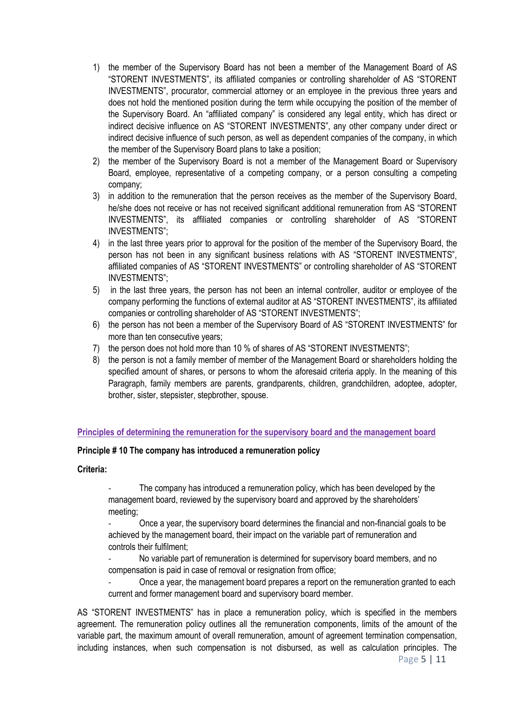- 1) the member of the Supervisory Board has not been a member of the Management Board of AS "STORENT INVESTMENTS", its affiliated companies or controlling shareholder of AS "STORENT INVESTMENTS", procurator, commercial attorney or an employee in the previous three years and does not hold the mentioned position during the term while occupying the position of the member of the Supervisory Board. An "affiliated company" is considered any legal entity, which has direct or indirect decisive influence on AS "STORENT INVESTMENTS", any other company under direct or indirect decisive influence of such person, as well as dependent companies of the company, in which the member of the Supervisory Board plans to take a position;
- 2) the member of the Supervisory Board is not a member of the Management Board or Supervisory Board, employee, representative of a competing company, or a person consulting a competing company;
- 3) in addition to the remuneration that the person receives as the member of the Supervisory Board, he/she does not receive or has not received significant additional remuneration from AS "STORENT INVESTMENTS", its affiliated companies or controlling shareholder of AS "STORENT INVESTMENTS";
- 4) in the last three years prior to approval for the position of the member of the Supervisory Board, the person has not been in any significant business relations with AS "STORENT INVESTMENTS", affiliated companies of AS "STORENT INVESTMENTS" or controlling shareholder of AS "STORENT INVESTMENTS";
- 5) in the last three years, the person has not been an internal controller, auditor or employee of the company performing the functions of external auditor at AS "STORENT INVESTMENTS", its affiliated companies or controlling shareholder of AS "STORENT INVESTMENTS";
- 6) the person has not been a member of the Supervisory Board of AS "STORENT INVESTMENTS" for more than ten consecutive years;
- 7) the person does not hold more than 10 % of shares of AS "STORENT INVESTMENTS";
- 8) the person is not a family member of member of the Management Board or shareholders holding the specified amount of shares, or persons to whom the aforesaid criteria apply. In the meaning of this Paragraph, family members are parents, grandparents, children, grandchildren, adoptee, adopter, brother, sister, stepsister, stepbrother, spouse.

## **Principles of determining the remuneration for the supervisory board and the management board**

## **Principle # 10 The company has introduced a remuneration policy**

## **Criteria:**

The company has introduced a remuneration policy, which has been developed by the management board, reviewed by the supervisory board and approved by the shareholders' meeting;

- Once a year, the supervisory board determines the financial and non-financial goals to be achieved by the management board, their impact on the variable part of remuneration and controls their fulfilment;

No variable part of remuneration is determined for supervisory board members, and no compensation is paid in case of removal or resignation from office;

- Once a year, the management board prepares a report on the remuneration granted to each current and former management board and supervisory board member.

AS "STORENT INVESTMENTS" has in place a remuneration policy, which is specified in the members agreement. The remuneration policy outlines all the remuneration components, limits of the amount of the variable part, the maximum amount of overall remuneration, amount of agreement termination compensation, including instances, when such compensation is not disbursed, as well as calculation principles. The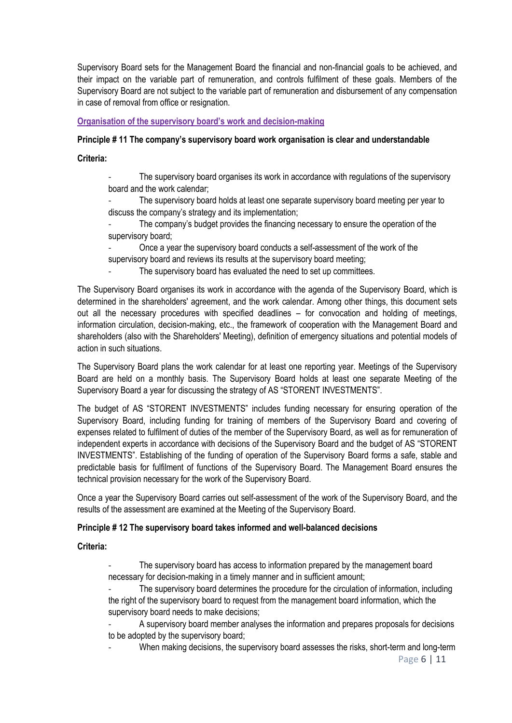Supervisory Board sets for the Management Board the financial and non-financial goals to be achieved, and their impact on the variable part of remuneration, and controls fulfilment of these goals. Members of the Supervisory Board are not subject to the variable part of remuneration and disbursement of any compensation in case of removal from office or resignation.

## **Organisation of the supervisory board's work and decision-making**

## **Principle # 11 The company's supervisory board work organisation is clear and understandable**

**Criteria:**

The supervisory board organises its work in accordance with regulations of the supervisory board and the work calendar;

The supervisory board holds at least one separate supervisory board meeting per year to discuss the company's strategy and its implementation;

The company's budget provides the financing necessary to ensure the operation of the supervisory board;

- Once a year the supervisory board conducts a self-assessment of the work of the supervisory board and reviews its results at the supervisory board meeting;

The supervisory board has evaluated the need to set up committees.

The Supervisory Board organises its work in accordance with the agenda of the Supervisory Board, which is determined in the shareholders' agreement, and the work calendar. Among other things, this document sets out all the necessary procedures with specified deadlines – for convocation and holding of meetings, information circulation, decision-making, etc., the framework of cooperation with the Management Board and shareholders (also with the Shareholders' Meeting), definition of emergency situations and potential models of action in such situations.

The Supervisory Board plans the work calendar for at least one reporting year. Meetings of the Supervisory Board are held on a monthly basis. The Supervisory Board holds at least one separate Meeting of the Supervisory Board a year for discussing the strategy of AS "STORENT INVESTMENTS".

The budget of AS "STORENT INVESTMENTS" includes funding necessary for ensuring operation of the Supervisory Board, including funding for training of members of the Supervisory Board and covering of expenses related to fulfilment of duties of the member of the Supervisory Board, as well as for remuneration of independent experts in accordance with decisions of the Supervisory Board and the budget of AS "STORENT INVESTMENTS". Establishing of the funding of operation of the Supervisory Board forms a safe, stable and predictable basis for fulfilment of functions of the Supervisory Board. The Management Board ensures the technical provision necessary for the work of the Supervisory Board.

Once a year the Supervisory Board carries out self-assessment of the work of the Supervisory Board, and the results of the assessment are examined at the Meeting of the Supervisory Board.

#### **Principle # 12 The supervisory board takes informed and well-balanced decisions**

**Criteria:**

The supervisory board has access to information prepared by the management board necessary for decision-making in a timely manner and in sufficient amount;

The supervisory board determines the procedure for the circulation of information, including the right of the supervisory board to request from the management board information, which the supervisory board needs to make decisions;

A supervisory board member analyses the information and prepares proposals for decisions to be adopted by the supervisory board;

When making decisions, the supervisory board assesses the risks, short-term and long-term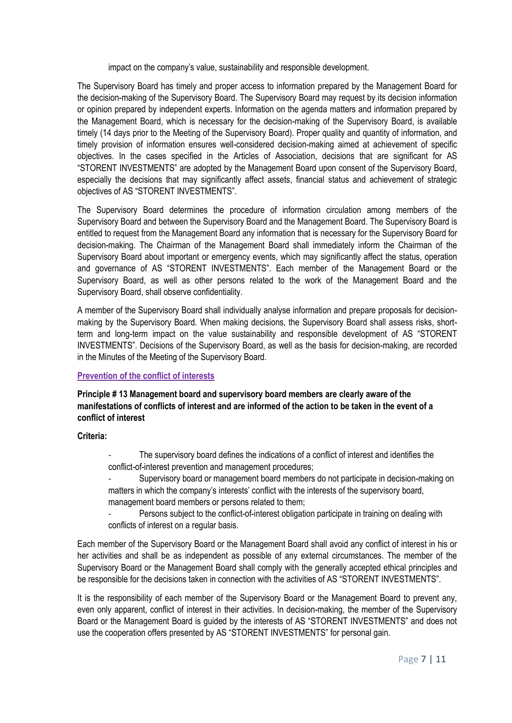impact on the company's value, sustainability and responsible development.

The Supervisory Board has timely and proper access to information prepared by the Management Board for the decision-making of the Supervisory Board. The Supervisory Board may request by its decision information or opinion prepared by independent experts. Information on the agenda matters and information prepared by the Management Board, which is necessary for the decision-making of the Supervisory Board, is available timely (14 days prior to the Meeting of the Supervisory Board). Proper quality and quantity of information, and timely provision of information ensures well-considered decision-making aimed at achievement of specific objectives. In the cases specified in the Articles of Association, decisions that are significant for AS "STORENT INVESTMENTS" are adopted by the Management Board upon consent of the Supervisory Board, especially the decisions that may significantly affect assets, financial status and achievement of strategic objectives of AS "STORENT INVESTMENTS".

The Supervisory Board determines the procedure of information circulation among members of the Supervisory Board and between the Supervisory Board and the Management Board. The Supervisory Board is entitled to request from the Management Board any information that is necessary for the Supervisory Board for decision-making. The Chairman of the Management Board shall immediately inform the Chairman of the Supervisory Board about important or emergency events, which may significantly affect the status, operation and governance of AS "STORENT INVESTMENTS". Each member of the Management Board or the Supervisory Board, as well as other persons related to the work of the Management Board and the Supervisory Board, shall observe confidentiality.

A member of the Supervisory Board shall individually analyse information and prepare proposals for decisionmaking by the Supervisory Board. When making decisions, the Supervisory Board shall assess risks, shortterm and long-term impact on the value sustainability and responsible development of AS "STORENT INVESTMENTS". Decisions of the Supervisory Board, as well as the basis for decision-making, are recorded in the Minutes of the Meeting of the Supervisory Board.

#### **Prevention of the conflict of interests**

**Principle # 13 Management board and supervisory board members are clearly aware of the manifestations of conflicts of interest and are informed of the action to be taken in the event of a conflict of interest**

**Criteria:**

The supervisory board defines the indications of a conflict of interest and identifies the conflict-of-interest prevention and management procedures;

- Supervisory board or management board members do not participate in decision-making on matters in which the company's interests' conflict with the interests of the supervisory board, management board members or persons related to them;

Persons subject to the conflict-of-interest obligation participate in training on dealing with conflicts of interest on a regular basis.

Each member of the Supervisory Board or the Management Board shall avoid any conflict of interest in his or her activities and shall be as independent as possible of any external circumstances. The member of the Supervisory Board or the Management Board shall comply with the generally accepted ethical principles and be responsible for the decisions taken in connection with the activities of AS "STORENT INVESTMENTS".

It is the responsibility of each member of the Supervisory Board or the Management Board to prevent any, even only apparent, conflict of interest in their activities. In decision-making, the member of the Supervisory Board or the Management Board is guided by the interests of AS "STORENT INVESTMENTS" and does not use the cooperation offers presented by AS "STORENT INVESTMENTS" for personal gain.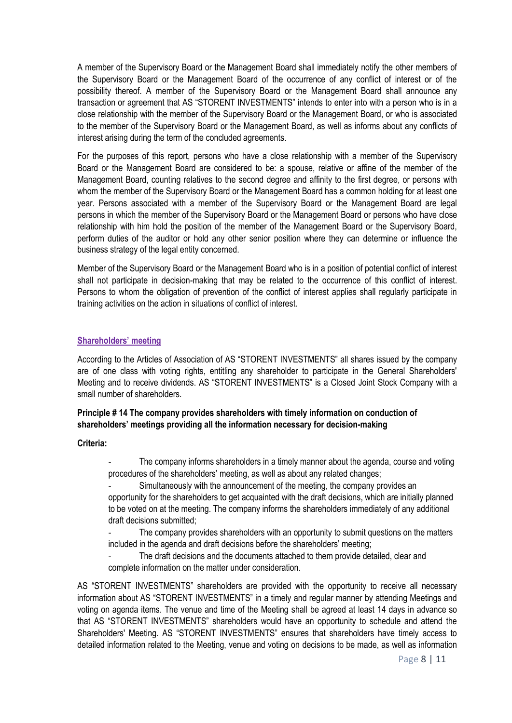A member of the Supervisory Board or the Management Board shall immediately notify the other members of the Supervisory Board or the Management Board of the occurrence of any conflict of interest or of the possibility thereof. A member of the Supervisory Board or the Management Board shall announce any transaction or agreement that AS "STORENT INVESTMENTS" intends to enter into with a person who is in a close relationship with the member of the Supervisory Board or the Management Board, or who is associated to the member of the Supervisory Board or the Management Board, as well as informs about any conflicts of interest arising during the term of the concluded agreements.

For the purposes of this report, persons who have a close relationship with a member of the Supervisory Board or the Management Board are considered to be: a spouse, relative or affine of the member of the Management Board, counting relatives to the second degree and affinity to the first degree, or persons with whom the member of the Supervisory Board or the Management Board has a common holding for at least one year. Persons associated with a member of the Supervisory Board or the Management Board are legal persons in which the member of the Supervisory Board or the Management Board or persons who have close relationship with him hold the position of the member of the Management Board or the Supervisory Board, perform duties of the auditor or hold any other senior position where they can determine or influence the business strategy of the legal entity concerned.

Member of the Supervisory Board or the Management Board who is in a position of potential conflict of interest shall not participate in decision-making that may be related to the occurrence of this conflict of interest. Persons to whom the obligation of prevention of the conflict of interest applies shall regularly participate in training activities on the action in situations of conflict of interest.

#### **Shareholders' meeting**

According to the Articles of Association of AS "STORENT INVESTMENTS" all shares issued by the company are of one class with voting rights, entitling any shareholder to participate in the General Shareholders' Meeting and to receive dividends. AS "STORENT INVESTMENTS" is a Closed Joint Stock Company with a small number of shareholders.

# **Principle # 14 The company provides shareholders with timely information on conduction of shareholders' meetings providing all the information necessary for decision-making**

#### **Criteria:**

- The company informs shareholders in a timely manner about the agenda, course and voting procedures of the shareholders' meeting, as well as about any related changes;
- Simultaneously with the announcement of the meeting, the company provides an opportunity for the shareholders to get acquainted with the draft decisions, which are initially planned to be voted on at the meeting. The company informs the shareholders immediately of any additional draft decisions submitted;
- The company provides shareholders with an opportunity to submit questions on the matters included in the agenda and draft decisions before the shareholders' meeting;
- The draft decisions and the documents attached to them provide detailed, clear and complete information on the matter under consideration.

AS "STORENT INVESTMENTS" shareholders are provided with the opportunity to receive all necessary information about AS "STORENT INVESTMENTS" in a timely and regular manner by attending Meetings and voting on agenda items. The venue and time of the Meeting shall be agreed at least 14 days in advance so that AS "STORENT INVESTMENTS" shareholders would have an opportunity to schedule and attend the Shareholders' Meeting. AS "STORENT INVESTMENTS" ensures that shareholders have timely access to detailed information related to the Meeting, venue and voting on decisions to be made, as well as information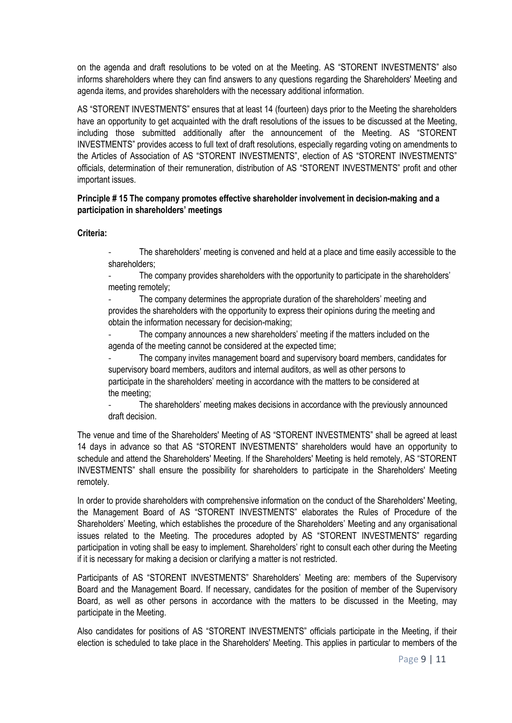on the agenda and draft resolutions to be voted on at the Meeting. AS "STORENT INVESTMENTS" also informs shareholders where they can find answers to any questions regarding the Shareholders' Meeting and agenda items, and provides shareholders with the necessary additional information.

AS "STORENT INVESTMENTS" ensures that at least 14 (fourteen) days prior to the Meeting the shareholders have an opportunity to get acquainted with the draft resolutions of the issues to be discussed at the Meeting, including those submitted additionally after the announcement of the Meeting. AS "STORENT INVESTMENTS" provides access to full text of draft resolutions, especially regarding voting on amendments to the Articles of Association of AS "STORENT INVESTMENTS", election of AS "STORENT INVESTMENTS" officials, determination of their remuneration, distribution of AS "STORENT INVESTMENTS" profit and other important issues.

## **Principle # 15 The company promotes effective shareholder involvement in decision-making and a participation in shareholders' meetings**

**Criteria:**

The shareholders' meeting is convened and held at a place and time easily accessible to the shareholders;

The company provides shareholders with the opportunity to participate in the shareholders' meeting remotely;

The company determines the appropriate duration of the shareholders' meeting and provides the shareholders with the opportunity to express their opinions during the meeting and obtain the information necessary for decision-making;

The company announces a new shareholders' meeting if the matters included on the agenda of the meeting cannot be considered at the expected time;

The company invites management board and supervisory board members, candidates for supervisory board members, auditors and internal auditors, as well as other persons to participate in the shareholders' meeting in accordance with the matters to be considered at the meeting;

The shareholders' meeting makes decisions in accordance with the previously announced draft decision.

The venue and time of the Shareholders' Meeting of AS "STORENT INVESTMENTS" shall be agreed at least 14 days in advance so that AS "STORENT INVESTMENTS" shareholders would have an opportunity to schedule and attend the Shareholders' Meeting. If the Shareholders' Meeting is held remotely, AS "STORENT INVESTMENTS" shall ensure the possibility for shareholders to participate in the Shareholders' Meeting remotely.

In order to provide shareholders with comprehensive information on the conduct of the Shareholders' Meeting, the Management Board of AS "STORENT INVESTMENTS" elaborates the Rules of Procedure of the Shareholders' Meeting, which establishes the procedure of the Shareholders' Meeting and any organisational issues related to the Meeting. The procedures adopted by AS "STORENT INVESTMENTS" regarding participation in voting shall be easy to implement. Shareholders' right to consult each other during the Meeting if it is necessary for making a decision or clarifying a matter is not restricted.

Participants of AS "STORENT INVESTMENTS" Shareholders' Meeting are: members of the Supervisory Board and the Management Board. If necessary, candidates for the position of member of the Supervisory Board, as well as other persons in accordance with the matters to be discussed in the Meeting, may participate in the Meeting.

Also candidates for positions of AS "STORENT INVESTMENTS" officials participate in the Meeting, if their election is scheduled to take place in the Shareholders' Meeting. This applies in particular to members of the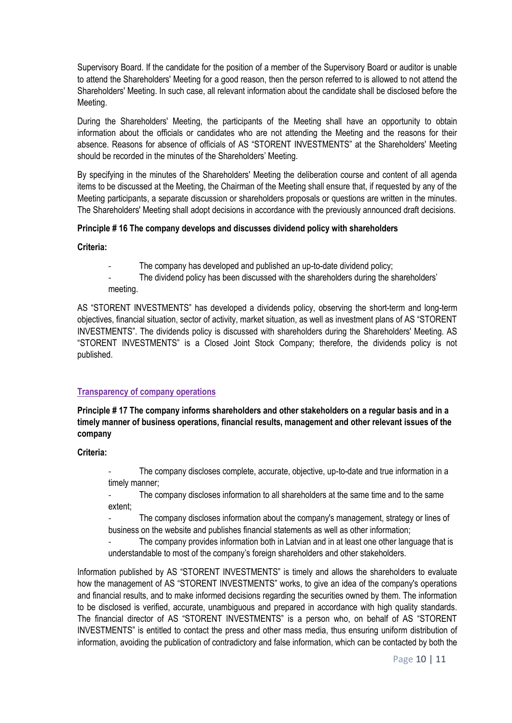Supervisory Board. If the candidate for the position of a member of the Supervisory Board or auditor is unable to attend the Shareholders' Meeting for a good reason, then the person referred to is allowed to not attend the Shareholders' Meeting. In such case, all relevant information about the candidate shall be disclosed before the Meeting.

During the Shareholders' Meeting, the participants of the Meeting shall have an opportunity to obtain information about the officials or candidates who are not attending the Meeting and the reasons for their absence. Reasons for absence of officials of AS "STORENT INVESTMENTS" at the Shareholders' Meeting should be recorded in the minutes of the Shareholders' Meeting.

By specifying in the minutes of the Shareholders' Meeting the deliberation course and content of all agenda items to be discussed at the Meeting, the Chairman of the Meeting shall ensure that, if requested by any of the Meeting participants, a separate discussion or shareholders proposals or questions are written in the minutes. The Shareholders' Meeting shall adopt decisions in accordance with the previously announced draft decisions.

## **Principle # 16 The company develops and discusses dividend policy with shareholders**

**Criteria:**

- The company has developed and published an up-to-date dividend policy;
- The dividend policy has been discussed with the shareholders during the shareholders' meeting.

AS "STORENT INVESTMENTS" has developed a dividends policy, observing the short-term and long-term objectives, financial situation, sector of activity, market situation, as well as investment plans of AS "STORENT INVESTMENTS". The dividends policy is discussed with shareholders during the Shareholders' Meeting. AS "STORENT INVESTMENTS" is a Closed Joint Stock Company; therefore, the dividends policy is not published.

## **Transparency of company operations**

**Principle # 17 The company informs shareholders and other stakeholders on a regular basis and in a timely manner of business operations, financial results, management and other relevant issues of the company**

**Criteria:**

The company discloses complete, accurate, objective, up-to-date and true information in a timely manner;

The company discloses information to all shareholders at the same time and to the same extent;

The company discloses information about the company's management, strategy or lines of business on the website and publishes financial statements as well as other information;

The company provides information both in Latvian and in at least one other language that is understandable to most of the company's foreign shareholders and other stakeholders.

Information published by AS "STORENT INVESTMENTS" is timely and allows the shareholders to evaluate how the management of AS "STORENT INVESTMENTS" works, to give an idea of the company's operations and financial results, and to make informed decisions regarding the securities owned by them. The information to be disclosed is verified, accurate, unambiguous and prepared in accordance with high quality standards. The financial director of AS "STORENT INVESTMENTS" is a person who, on behalf of AS "STORENT INVESTMENTS" is entitled to contact the press and other mass media, thus ensuring uniform distribution of information, avoiding the publication of contradictory and false information, which can be contacted by both the